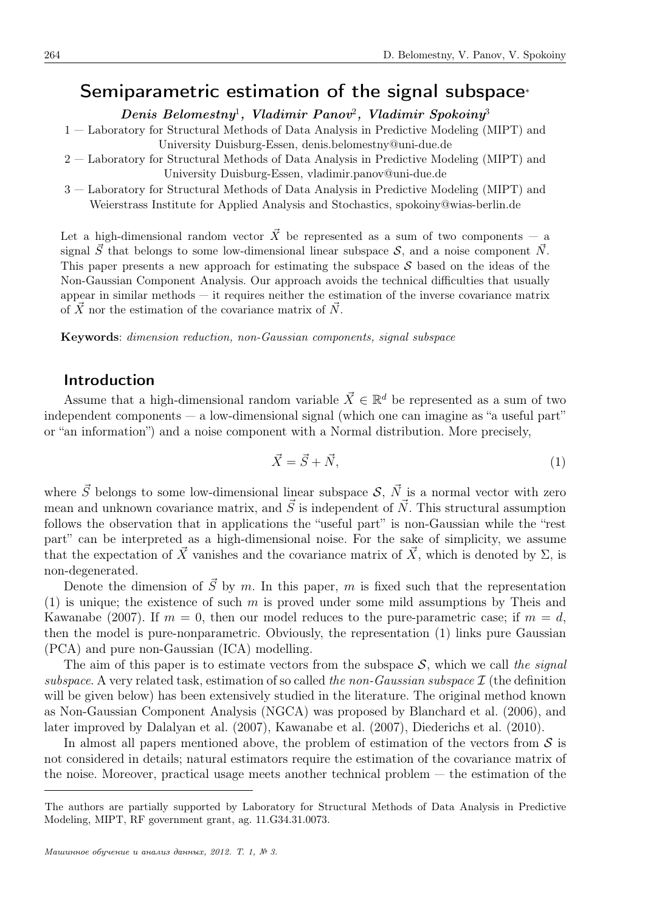## Semiparametric estimation of the signal subspace*<sup>∗</sup>*

*Denis Belomestny*<sup>1</sup> *, Vladimir Panov*<sup>2</sup> *, Vladimir Spokoiny*<sup>3</sup>

- 1 Laboratory for Structural Methods of Data Analysis in Predictive Modeling (MIPT) and University Duisburg-Essen, denis.belomestny@uni-due.de
- 2 Laboratory for Structural Methods of Data Analysis in Predictive Modeling (MIPT) and University Duisburg-Essen, vladimir.panov@uni-due.de
- 3 Laboratory for Structural Methods of Data Analysis in Predictive Modeling (MIPT) and Weierstrass Institute for Applied Analysis and Stochastics, spokoiny@wias-berlin.de

Let a high-dimensional random vector  $\vec{X}$  be represented as a sum of two components – a signal  $\vec{S}$  that belongs to some low-dimensional linear subspace  $\mathcal{S}$ , and a noise component  $\vec{N}$ . This paper presents a new approach for estimating the subspace *S* based on the ideas of the Non-Gaussian Component Analysis. Our approach avoids the technical difficulties that usually appear in similar methods — it requires neither the estimation of the inverse covariance matrix of  $\overline{X}$  nor the estimation of the covariance matrix of  $\overline{N}$ .

Keywords: *dimension reduction, non-Gaussian components, signal subspace*

#### Introduction

Assume that a high-dimensional random variable  $\vec{X} \in \mathbb{R}^d$  be represented as a sum of two independent components — a low-dimensional signal (which one can imagine as "a useful part" or "an information") and a noise component with a Normal distribution. More precisely,

$$
\vec{X} = \vec{S} + \vec{N},\tag{1}
$$

where  $\vec{S}$  belongs to some low-dimensional linear subspace  $\vec{S}$ ,  $\vec{N}$  is a normal vector with zero mean and unknown covariance matrix, and  $\vec{S}$  is independent of  $\vec{N}$ . This structural assumption follows the observation that in applications the "useful part" is non-Gaussian while the "rest part" can be interpreted as a high-dimensional noise. For the sake of simplicity, we assume that the expectation of  $\vec{X}$  vanishes and the covariance matrix of  $\vec{X}$ , which is denoted by  $\Sigma$ , is non-degenerated.

Denote the dimension of  $\vec{S}$  by  $m$ . In this paper,  $m$  is fixed such that the representation (1) is unique; the existence of such *m* is proved under some mild assumptions by Theis and Kawanabe (2007). If  $m = 0$ , then our model reduces to the pure-parametric case; if  $m = d$ , then the model is pure-nonparametric. Obviously, the representation (1) links pure Gaussian (PCA) and pure non-Gaussian (ICA) modelling.

The aim of this paper is to estimate vectors from the subspace *S*, which we call *the signal subspace*. A very related task, estimation of so called *the non-Gaussian subspace I* (the definition will be given below) has been extensively studied in the literature. The original method known as Non-Gaussian Component Analysis (NGCA) was proposed by Blanchard et al. (2006), and later improved by Dalalyan et al. (2007), Kawanabe et al. (2007), Diederichs et al. (2010).

In almost all papers mentioned above, the problem of estimation of the vectors from *S* is not considered in details; natural estimators require the estimation of the covariance matrix of the noise. Moreover, practical usage meets another technical problem — the estimation of the

The authors are partially supported by Laboratory for Structural Methods of Data Analysis in Predictive Modeling, MIPT, RF government grant, ag. 11.G34.31.0073.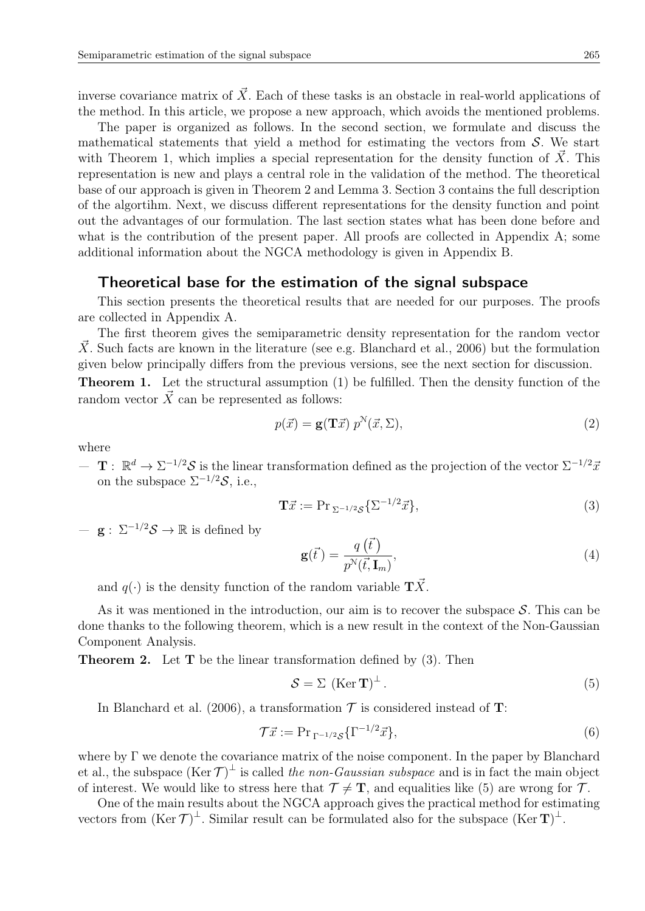inverse covariance matrix of  $\vec{X}$ . Each of these tasks is an obstacle in real-world applications of the method. In this article, we propose a new approach, which avoids the mentioned problems.

The paper is organized as follows. In the second section, we formulate and discuss the mathematical statements that yield a method for estimating the vectors from *S*. We start with Theorem 1, which implies a special representation for the density function of  $\tilde{X}$ . This representation is new and plays a central role in the validation of the method. The theoretical base of our approach is given in Theorem 2 and Lemma 3. Section 3 contains the full description of the algortihm. Next, we discuss different representations for the density function and point out the advantages of our formulation. The last section states what has been done before and what is the contribution of the present paper. All proofs are collected in Appendix A; some additional information about the NGCA methodology is given in Appendix B.

#### Theoretical base for the estimation of the signal subspace

This section presents the theoretical results that are needed for our purposes. The proofs are collected in Appendix A.

The first theorem gives the semiparametric density representation for the random vector X. Such facts are known in the literature (see e.g. Blanchard et al., 2006) but the formulation given below principally differs from the previous versions, see the next section for discussion.

Theorem 1. Let the structural assumption (1) be fulfilled. Then the density function of the random vector  $\vec{X}$  can be represented as follows:

$$
p(\vec{x}) = \mathbf{g}(\mathbf{T}\vec{x}) \ p^N(\vec{x}, \Sigma), \tag{2}
$$

where

 $-\mathbf{T}: \mathbb{R}^d \to \Sigma^{-1/2} \mathcal{S}$  is the linear transformation defined as the projection of the vector  $\Sigma^{-1/2} \bar{x}$ on the subspace  $\Sigma^{-1/2}S$ , i.e.,

$$
\mathbf{T}\vec{x} := \operatorname{Pr}_{\Sigma^{-1/2}\mathcal{S}}\{\Sigma^{-1/2}\vec{x}\},\tag{3}
$$

— **g** : Σ*<sup>−</sup>*1*/*<sup>2</sup>*S →* R is defined by

$$
\mathbf{g}(\vec{t}) = \frac{q(\vec{t})}{p^{\mathcal{N}}(\vec{t}, \mathbf{I}_m)},
$$
\n(4)

and  $q(\cdot)$  is the density function of the random variable  $T\vec{X}$ .

As it was mentioned in the introduction, our aim is to recover the subspace *S*. This can be done thanks to the following theorem, which is a new result in the context of the Non-Gaussian Component Analysis.

Theorem 2. Let **T** be the linear transformation defined by (3). Then

$$
S = \Sigma \, (\text{Ker } \mathbf{T})^{\perp} \,. \tag{5}
$$

In Blanchard et al. (2006), a transformation  $\mathcal T$  is considered instead of **T**:

$$
\mathcal{T}\vec{x} := \Pr_{\Gamma^{-1/2}\mathcal{S}}\{\Gamma^{-1/2}\vec{x}\},\tag{6}
$$

where by Γ we denote the covariance matrix of the noise component. In the paper by Blanchard et al., the subspace  $(Ker \mathcal{T})^{\perp}$  is called *the non-Gaussian subspace* and is in fact the main object of interest. We would like to stress here that  $\mathcal{T} \neq \mathbf{T}$ , and equalities like (5) are wrong for  $\mathcal{T}$ .

One of the main results about the NGCA approach gives the practical method for estimating vectors from  $(Ker \mathcal{T})^{\perp}$ . Similar result can be formulated also for the subspace  $(Ker \mathcal{T})^{\perp}$ .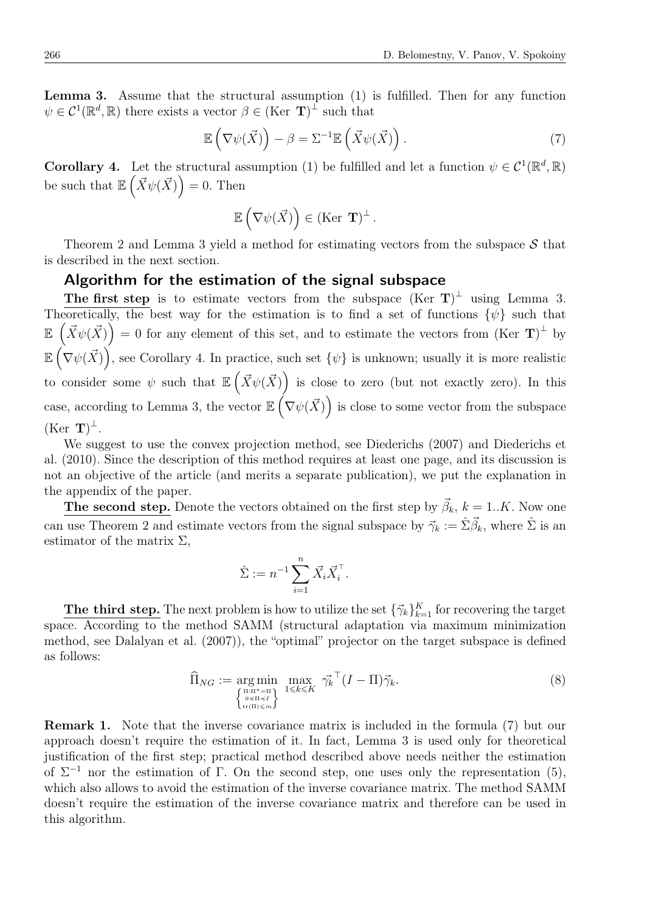Lemma 3. Assume that the structural assumption (1) is fulfilled. Then for any function  $\psi \in C^1(\mathbb{R}^d, \mathbb{R})$  there exists a vector  $\beta \in (\text{Ker } \mathbf{T})^{\perp}$  such that

$$
\mathbb{E}\left(\nabla\psi(\vec{X})\right) - \beta = \Sigma^{-1}\mathbb{E}\left(\vec{X}\psi(\vec{X})\right). \tag{7}
$$

**Corollary 4.** Let the structural assumption (1) be fulfilled and let a function  $\psi \in C^1(\mathbb{R}^d, \mathbb{R})$ be such that  $\mathbb{E}\left(\vec{X}\psi(\vec{X})\right) = 0$ . Then

$$
\mathbb{E}\left(\nabla\psi(\vec{X})\right) \in (\text{Ker } \mathbf{T})^{\perp}.
$$

Theorem 2 and Lemma 3 yield a method for estimating vectors from the subspace *S* that is described in the next section.

### Algorithm for the estimation of the signal subspace

The first step is to estimate vectors from the subspace  $(Ker T)^{\perp}$  using Lemma 3. Theoretically, the best way for the estimation is to find a set of functions  $\{\psi\}$  such that  $\mathbb{E} \left( \vec{X} \psi(\vec{X}) \right) = 0$  for any element of this set, and to estimate the vectors from  $(\text{Ker } \mathbf{T})^{\perp}$  by  $\mathbb{E}(\nabla \psi(\vec{X}))$ , see Corollary 4. In practice, such set  $\{\psi\}$  is unknown; usually it is more realistic to consider some  $\psi$  such that  $\mathbb{E}(\vec{X}\psi(\vec{X}))$  is close to zero (but not exactly zero). In this case, according to Lemma 3, the vector  $\mathbb{E}(\nabla\psi(\vec{X}))$  is close to some vector from the subspace  $(Ker T)^{\perp}$ .

We suggest to use the convex projection method, see Diederichs (2007) and Diederichs et al. (2010). Since the description of this method requires at least one page, and its discussion is not an objective of the article (and merits a separate publication), we put the explanation in the appendix of the paper.

**The second step.** Denote the vectors obtained on the first step by  $\vec{\beta}_k$ ,  $k = 1..K$ . Now one can use Theorem 2 and estimate vectors from the signal subspace by  $\vec{\gamma}_k := \hat{\Sigma} \vec{\beta}_k$ , where  $\hat{\Sigma}$  is an estimator of the matrix  $\Sigma$ ,

$$
\hat{\Sigma} := n^{-1} \sum_{i=1}^n \vec{X}_i \vec{X}_i^{\top}.
$$

The third step. The next problem is how to utilize the set  ${\{\vec{\gamma}_k\}}_{k=1}^K$  for recovering the target space. According to the method SAMM (structural adaptation via maximum minimization method, see Dalalyan et al. (2007)), the "optimal" projector on the target subspace is defined as follows:

$$
\widehat{\Pi}_{NG} := \underset{\substack{\{n:\Pi^* = \Pi \\ \mathfrak{h} \leq \Pi \leq I \\ \mathfrak{t} \cdot (\Pi) \leq m}}{\arg \min} \max_{1 \leq k \leq K} \widetilde{\gamma_k}^\top (I - \Pi) \widetilde{\gamma}_k. \tag{8}
$$

Remark 1. Note that the inverse covariance matrix is included in the formula (7) but our approach doesn't require the estimation of it. In fact, Lemma 3 is used only for theoretical justification of the first step; practical method described above needs neither the estimation of  $\Sigma^{-1}$  nor the estimation of Γ. On the second step, one uses only the representation (5), which also allows to avoid the estimation of the inverse covariance matrix. The method SAMM doesn't require the estimation of the inverse covariance matrix and therefore can be used in this algorithm.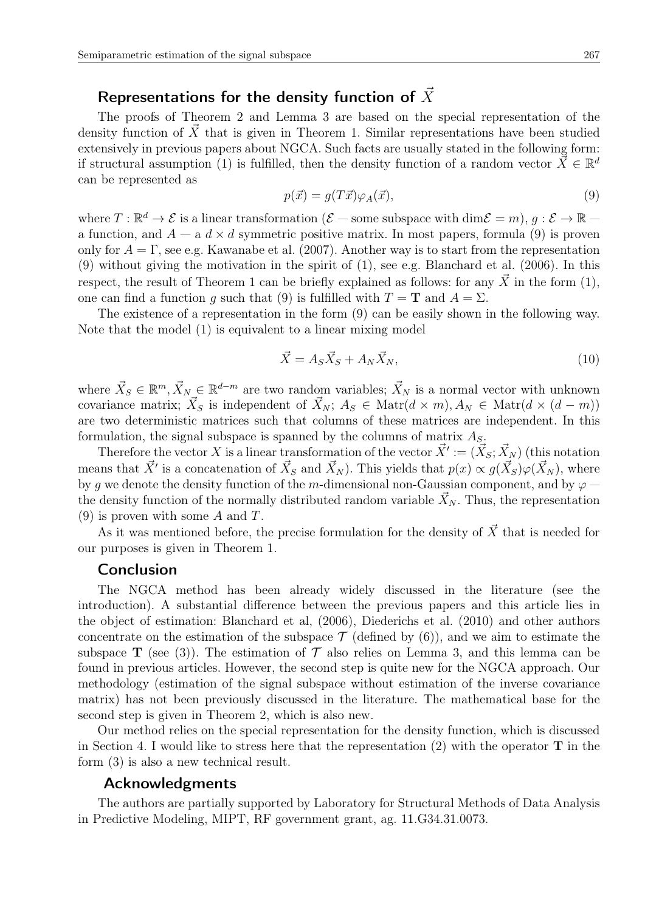# Representations for the density function of  $\vec{X}$

The proofs of Theorem 2 and Lemma 3 are based on the special representation of the density function of  $\overline{X}$  that is given in Theorem 1. Similar representations have been studied extensively in previous papers about NGCA. Such facts are usually stated in the following form: if structural assumption (1) is fulfilled, then the density function of a random vector  $\vec{\bar{X}} \in \mathbb{R}^d$ can be represented as

$$
p(\vec{x}) = g(T\vec{x})\varphi_A(\vec{x}),\tag{9}
$$

where  $T : \mathbb{R}^d \to \mathcal{E}$  is a linear transformation  $(\mathcal{E}-$  some subspace with  $\dim \mathcal{E} = m$ ,  $g : \mathcal{E} \to \mathbb{R}$ a function, and  $A - a$   $d \times d$  symmetric positive matrix. In most papers, formula (9) is proven only for  $A = \Gamma$ , see e.g. Kawanabe et al. (2007). Another way is to start from the representation (9) without giving the motivation in the spirit of (1), see e.g. Blanchard et al. (2006). In this respect, the result of Theorem 1 can be briefly explained as follows: for any  $\vec{X}$  in the form (1), one can find a function *g* such that (9) is fulfilled with  $T = \mathbf{T}$  and  $A = \Sigma$ .

The existence of a representation in the form (9) can be easily shown in the following way. Note that the model (1) is equivalent to a linear mixing model

$$
\vec{X} = A_S \vec{X}_S + A_N \vec{X}_N,\tag{10}
$$

where  $\vec{X}_S \in \mathbb{R}^m, \vec{X}_N \in \mathbb{R}^{d-m}$  are two random variables;  $\vec{X}_N$  is a normal vector with unknown covariance matrix;  $\vec{X}_S$  is independent of  $\vec{X}_N$ ;  $A_S \in \text{Matr}(d \times m)$ ,  $A_N \in \text{Matr}(d \times (d - m))$ are two deterministic matrices such that columns of these matrices are independent. In this formulation, the signal subspace is spanned by the columns of matrix *AS*.

Therefore the vector *X* is a linear transformation of the vector  $\vec{X}' := (\vec{X}_S; \vec{X}_N)$  (this notation means that  $\vec{X}'$  is a concatenation of  $\vec{X}_S$  and  $\vec{X}_N$ ). This yields that  $p(x) \propto g(\vec{X}_S) \varphi(\vec{X}_N)$ , where by *g* we denote the density function of the *m*-dimensional non-Gaussian component, and by  $\varphi$ the density function of the normally distributed random variable  $X_N$ . Thus, the representation (9) is proven with some *A* and *T*.

As it was mentioned before, the precise formulation for the density of  $\vec{X}$  that is needed for our purposes is given in Theorem 1.

### Conclusion

The NGCA method has been already widely discussed in the literature (see the introduction). A substantial difference between the previous papers and this article lies in the object of estimation: Blanchard et al, (2006), Diederichs et al. (2010) and other authors concentrate on the estimation of the subspace  $\mathcal T$  (defined by  $(6)$ ), and we aim to estimate the subspace **T** (see (3)). The estimation of  $\mathcal T$  also relies on Lemma 3, and this lemma can be found in previous articles. However, the second step is quite new for the NGCA approach. Our methodology (estimation of the signal subspace without estimation of the inverse covariance matrix) has not been previously discussed in the literature. The mathematical base for the second step is given in Theorem 2, which is also new.

Our method relies on the special representation for the density function, which is discussed in Section 4. I would like to stress here that the representation (2) with the operator **T** in the form (3) is also a new technical result.

#### Acknowledgments

The authors are partially supported by Laboratory for Structural Methods of Data Analysis in Predictive Modeling, MIPT, RF government grant, ag. 11.G34.31.0073.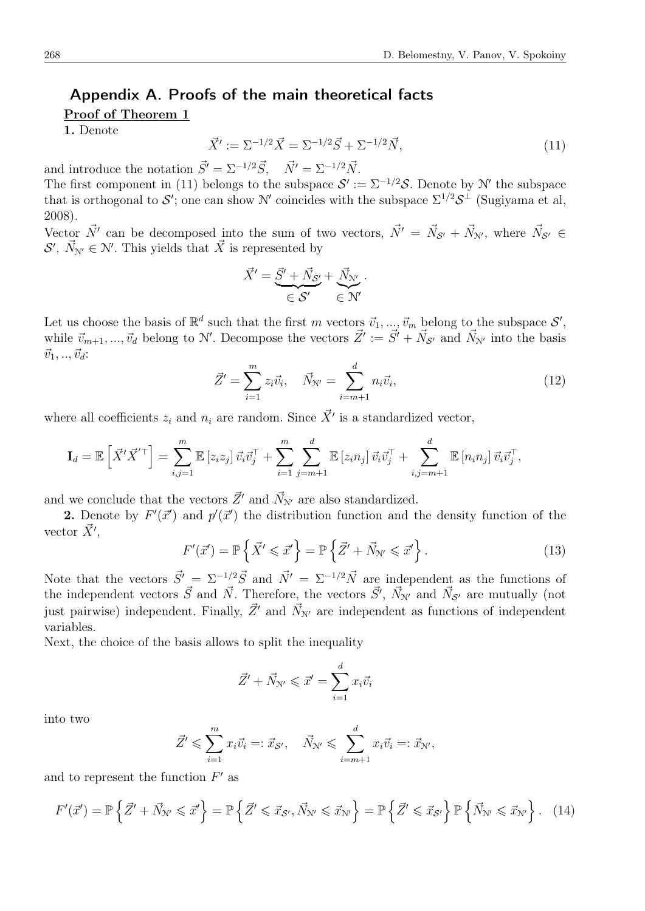## Appendix A. Proofs of the main theoretical facts

#### Proof of Theorem 1

1. Denote

$$
\vec{X}' := \Sigma^{-1/2}\vec{X} = \Sigma^{-1/2}\vec{S} + \Sigma^{-1/2}\vec{N},\tag{11}
$$

and introduce the notation  $\vec{S}' = \Sigma^{-1/2} \vec{S}$ ,  $\vec{N}' = \Sigma^{-1/2} \vec{N}$ .

The first component in (11) belongs to the subspace  $\mathcal{S}' := \Sigma^{-1/2} \mathcal{S}$ . Denote by N' the subspace that is orthogonal to  $\mathcal{S}'$ ; one can show  $\mathcal{N}'$  coincides with the subspace  $\Sigma^{1/2} \mathcal{S}^{\perp}$  (Sugiyama et al, 2008).

Vector  $\vec{N'}$  can be decomposed into the sum of two vectors,  $\vec{N'} = \vec{N}_{S'} + \vec{N}_{N'}$ , where  $\vec{N}_{S'} \in$  $S'$ ,  $\vec{N}_{N'} \in \mathcal{N}'$ . This yields that  $\vec{X}$  is represented by

$$
\vec{X}' = \underbrace{\vec{S}'}_{\in \mathcal{S}'} + \underbrace{\vec{N}_{S'}}_{\in \mathcal{N}'} + \underbrace{\vec{N}_{N'}}_{\in \mathcal{N}'}.
$$

Let us choose the basis of  $\mathbb{R}^d$  such that the first *m* vectors  $\vec{v}_1, ..., \vec{v}_m$  belong to the subspace  $\mathcal{S}'$ , while  $\vec{v}_{m+1}, ..., \vec{v}_d$  belong to N'. Decompose the vectors  $\vec{Z}' := \vec{S'} + \vec{N}_{\mathcal{S'}}$  and  $\vec{N}_{\mathcal{N}'}$  into the basis  $\vec{v}_1, \ldots, \vec{v}_d$ :

$$
\vec{Z}' = \sum_{i=1}^{m} z_i \vec{v}_i, \quad \vec{N}_{N'} = \sum_{i=m+1}^{d} n_i \vec{v}_i,
$$
\n(12)

where all coefficients  $z_i$  and  $n_i$  are random. Since  $\vec{X}'$  is a standardized vector,

$$
\mathbf{I}_d = \mathbb{E}\left[\vec{X}'\vec{X}'^{\top}\right] = \sum_{i,j=1}^m \mathbb{E}\left[z_i z_j\right] \vec{v}_i \vec{v}_j^{\top} + \sum_{i=1}^m \sum_{j=m+1}^d \mathbb{E}\left[z_i n_j\right] \vec{v}_i \vec{v}_j^{\top} + \sum_{i,j=m+1}^d \mathbb{E}\left[n_i n_j\right] \vec{v}_i \vec{v}_j^{\top},
$$

and we conclude that the vectors  $\vec{Z}'$  and  $\vec{N}_{N'}$  are also standardized.

**2.** Denote by  $F'(\vec{x}')$  and  $p'(\vec{x}')$  the distribution function and the density function of the vector  $\vec{X}'$ ,

$$
F'(\vec{x}') = \mathbb{P}\left\{\vec{X}' \leqslant \vec{x}'\right\} = \mathbb{P}\left\{\vec{Z}' + \vec{N}_{\mathcal{N}'} \leqslant \vec{x}'\right\}.
$$
\n(13)

Note that the vectors  $\vec{S}' = \Sigma^{-1/2} \vec{S}$  and  $\vec{N}' = \Sigma^{-1/2} \vec{N}$  are independent as the functions of the independent vectors  $\vec{S}$  and  $\vec{N}$ . Therefore, the vectors  $\vec{S}'$ ,  $\vec{N}_{N'}$  and  $\vec{N}_{S'}$  are mutually (not just pairwise) independent. Finally,  $\vec{Z}'$  and  $\vec{N}_{N'}$  are independent as functions of independent variables.

Next, the choice of the basis allows to split the inequality

$$
\vec{Z}' + \vec{N}_{N'} \leqslant \vec{x}' = \sum_{i=1}^{d} x_i \vec{v}_i
$$

into two

$$
\vec{Z}' \leqslant \sum_{i=1}^m x_i \vec{v}_i =: \vec{x}_{\mathcal{S}'}, \quad \vec{N}_{\mathcal{N}'} \leqslant \sum_{i=m+1}^d x_i \vec{v}_i =: \vec{x}_{\mathcal{N}'},
$$

and to represent the function *F ′* as

$$
F'(\vec{x}') = \mathbb{P}\left\{\vec{Z}' + \vec{N}_{N'} \leqslant \vec{x}'\right\} = \mathbb{P}\left\{\vec{Z}' \leqslant \vec{x}_{\mathcal{S}'}, \vec{N}_{N'} \leqslant \vec{x}_{N'}\right\} = \mathbb{P}\left\{\vec{Z}' \leqslant \vec{x}_{\mathcal{S}'}\right\} \mathbb{P}\left\{\vec{N}_{N'} \leqslant \vec{x}_{N'}\right\}.\tag{14}
$$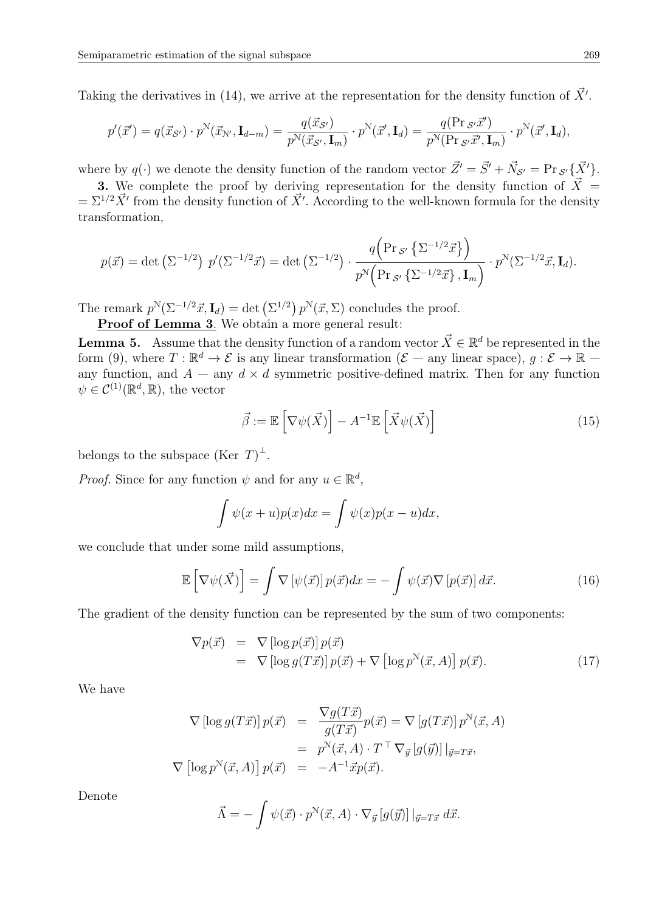Taking the derivatives in (14), we arrive at the representation for the density function of  $\vec{X}'$ .

$$
p'(\vec{x}') = q(\vec{x}_{\mathcal{S}'}) \cdot p^{\mathcal{N}}(\vec{x}_{\mathcal{N}'}, \mathbf{I}_{d-m}) = \frac{q(\vec{x}_{\mathcal{S}'})}{p^{\mathcal{N}}(\vec{x}_{\mathcal{S}'}, \mathbf{I}_{m})} \cdot p^{\mathcal{N}}(\vec{x}', \mathbf{I}_{d}) = \frac{q(\Pr_{\mathcal{S}'}\vec{x}')}{p^{\mathcal{N}}(\Pr_{\mathcal{S}'}\vec{x}', \mathbf{I}_{m})} \cdot p^{\mathcal{N}}(\vec{x}', \mathbf{I}_{d}),
$$

where by  $q(\cdot)$  we denote the density function of the random vector  $\vec{Z}' = \vec{S}' + \vec{N}_{\mathcal{S}'} = \Pr_{\mathcal{S}'}\{\vec{X}'\}.$ 

3. We complete the proof by deriving representation for the density function of  $\vec{X}$  =  $=\Sigma^{1/2}\vec{X}'$  from the density function of  $\vec{X}'$ . According to the well-known formula for the density transformation,

$$
p(\vec{x}) = \det\left(\Sigma^{-1/2}\right) \ p'(\Sigma^{-1/2}\vec{x}) = \det\left(\Sigma^{-1/2}\right) \cdot \frac{q\left(\Pr_{\mathcal{S}'}\left\{\Sigma^{-1/2}\vec{x}\right\}\right)}{p^N\left(\Pr_{\mathcal{S}'}\left\{\Sigma^{-1/2}\vec{x}\right\}, \mathbf{I}_m\right)} \cdot p^N(\Sigma^{-1/2}\vec{x}, \mathbf{I}_d).
$$

The remark  $p^N(\Sigma^{-1/2}\vec{x}, \mathbf{I}_d) = \det(\Sigma^{1/2}) p^N(\vec{x}, \Sigma)$  concludes the proof.

Proof of Lemma 3. We obtain a more general result:

**Lemma 5.** Assume that the density function of a random vector  $\vec{X} \in \mathbb{R}^d$  be represented in the form (9), where  $T : \mathbb{R}^d \to \mathcal{E}$  is any linear transformation ( $\mathcal{E}$  – any linear space),  $g : \mathcal{E} \to \mathbb{R}$  – any function, and  $A - \text{any } d \times d$  symmetric positive-defined matrix. Then for any function  $\psi \in C^{(1)}(\mathbb{R}^d, \mathbb{R})$ , the vector

$$
\vec{\beta} := \mathbb{E}\left[\nabla\psi(\vec{X})\right] - A^{-1}\mathbb{E}\left[\vec{X}\psi(\vec{X})\right]
$$
\n(15)

belongs to the subspace (Ker  $T)^{\perp}$ .

*Proof.* Since for any function  $\psi$  and for any  $u \in \mathbb{R}^d$ ,

$$
\int \psi(x+u)p(x)dx = \int \psi(x)p(x-u)dx,
$$

we conclude that under some mild assumptions,

$$
\mathbb{E}\left[\nabla\psi(\vec{X})\right] = \int \nabla\left[\psi(\vec{x})\right] p(\vec{x}) dx = -\int \psi(\vec{x}) \nabla\left[p(\vec{x})\right] d\vec{x}.\tag{16}
$$

The gradient of the density function can be represented by the sum of two components:

$$
\nabla p(\vec{x}) = \nabla [\log p(\vec{x})] p(\vec{x}) \n= \nabla [\log g(T\vec{x})] p(\vec{x}) + \nabla [\log p^N(\vec{x}, A)] p(\vec{x}).
$$
\n(17)

We have

$$
\nabla \left[ \log g(T\vec{x}) \right] p(\vec{x}) = \frac{\nabla g(T\vec{x})}{g(T\vec{x})} p(\vec{x}) = \nabla \left[ g(T\vec{x}) \right] p^{\mathcal{N}}(\vec{x}, A)
$$

$$
= p^{\mathcal{N}}(\vec{x}, A) \cdot T^{\top} \nabla_{\vec{y}} \left[ g(\vec{y}) \right] |_{\vec{y} = T\vec{x}},
$$

$$
\nabla \left[ \log p^{\mathcal{N}}(\vec{x}, A) \right] p(\vec{x}) = -A^{-1} \vec{x} p(\vec{x}).
$$

Denote

$$
\vec{\Lambda} = -\int \psi(\vec{x}) \cdot p^{\mathcal{N}}(\vec{x}, A) \cdot \nabla_{\vec{y}} [g(\vec{y})] |_{\vec{y} = T\vec{x}} d\vec{x}.
$$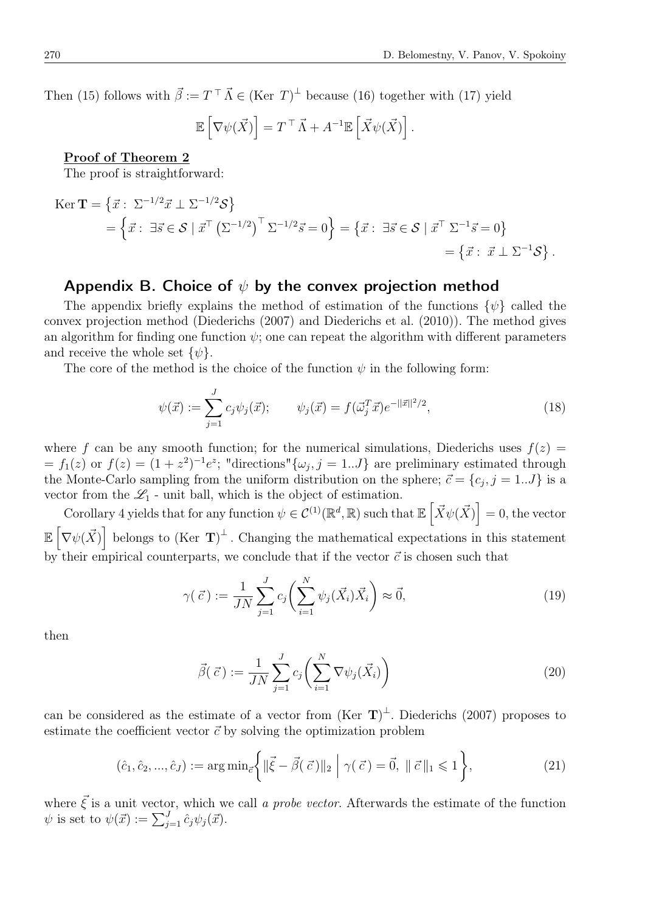Then (15) follows with  $\vec{\beta} := T^{\top} \vec{\Lambda} \in (\text{Ker } T)^{\perp}$  because (16) together with (17) yield

$$
\mathbb{E}\left[\nabla\psi(\vec{X})\right] = T^{\top}\vec{\Lambda} + A^{-1}\mathbb{E}\left[\vec{X}\psi(\vec{X})\right].
$$

Proof of Theorem 2

The proof is straightforward:

$$
\begin{split} \text{Ker } \mathbf{T} &= \left\{ \vec{x} : \ \Sigma^{-1/2} \vec{x} \perp \Sigma^{-1/2} \mathcal{S} \right\} \\ &= \left\{ \vec{x} : \ \exists \vec{s} \in \mathcal{S} \mid \vec{x}^{\top} \left( \Sigma^{-1/2} \right)^{\top} \Sigma^{-1/2} \vec{s} = 0 \right\} = \left\{ \vec{x} : \ \exists \vec{s} \in \mathcal{S} \mid \vec{x}^{\top} \Sigma^{-1} \vec{s} = 0 \right\} \\ &= \left\{ \vec{x} : \ \vec{x} \perp \Sigma^{-1} \mathcal{S} \right\} . \end{split}
$$

#### Appendix B. Choice of *ψ* by the convex projection method

The appendix briefly explains the method of estimation of the functions *{ψ}* called the convex projection method (Diederichs (2007) and Diederichs et al. (2010)). The method gives an algorithm for finding one function  $\psi$ ; one can repeat the algorithm with different parameters and receive the whole set  $\{\psi\}.$ 

The core of the method is the choice of the function  $\psi$  in the following form:

$$
\psi(\vec{x}) := \sum_{j=1}^{J} c_j \psi_j(\vec{x}); \qquad \psi_j(\vec{x}) = f(\vec{\omega}_j^T \vec{x}) e^{-||\vec{x}||^2/2}, \qquad (18)
$$

where f can be any smooth function; for the numerical simulations, Diederichs uses  $f(z)$  $f_1(z)$  or  $f(z) = (1 + z^2)^{-1}e^z$ ; "directions" $\{\omega_j, j = 1...J\}$  are preliminary estimated through the Monte-Carlo sampling from the uniform distribution on the sphere;  $\vec{c} = \{c_j, j = 1..J\}$  is a vector from the  $\mathscr{L}_1$  - unit ball, which is the object of estimation.

Corollary 4 yields that for any function  $\psi \in C^{(1)}(\mathbb{R}^d, \mathbb{R})$  such that  $\mathbb{E}\left[\vec{X}\psi(\vec{X})\right] = 0$ , the vector  $\mathbb{E} \left[ \nabla \psi(\vec{X}) \right]$  belongs to  $(\text{Ker } \mathbf{T})^{\perp}$ . Changing the mathematical expectations in this statement by their empirical counterparts, we conclude that if the vector  $\vec{c}$  is chosen such that

$$
\gamma(\vec{c}) := \frac{1}{JN} \sum_{j=1}^{J} c_j \left( \sum_{i=1}^{N} \psi_j(\vec{X}_i) \vec{X}_i \right) \approx \vec{0},\tag{19}
$$

then

$$
\vec{\beta}(\vec{c}) := \frac{1}{JN} \sum_{j=1}^{J} c_j \left( \sum_{i=1}^{N} \nabla \psi_j(\vec{X}_i) \right)
$$
\n(20)

can be considered as the estimate of a vector from  $(Ker \ T)^{\perp}$ . Diederichs (2007) proposes to estimate the coefficient vector  $\vec{c}$  by solving the optimization problem

$$
(\hat{c}_1, \hat{c}_2, ..., \hat{c}_J) := \arg \min_{\vec{c}} \left\{ \|\vec{\xi} - \vec{\beta}(\vec{c})\|_2 \; \middle| \; \gamma(\vec{c}) = \vec{0}, \; \|\vec{c}\|_1 \leq 1 \right\},\tag{21}
$$

where  $\vec{\xi}$  is a unit vector, which we call *a probe vector*. Afterwards the estimate of the function  $\psi$  is set to  $\psi(\vec{x}) := \sum_{j=1}^{J} \hat{c}_j \psi_j(\vec{x}).$